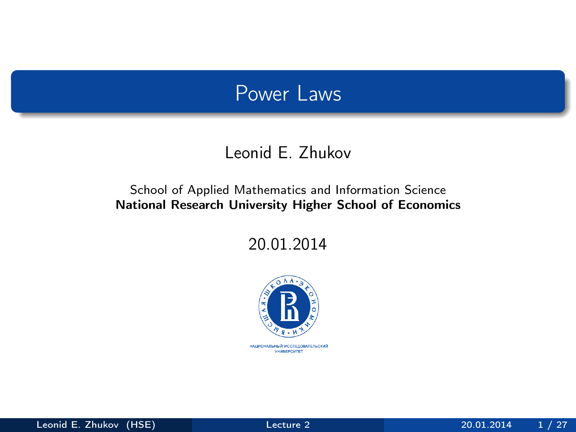### Power Laws

#### Leonid E. Zhukov

#### <span id="page-0-0"></span>School of Applied Mathematics and Information Science National Research University Higher School of Economics

20.01.2014



национальный исследовательский *YHMBEPCWTET*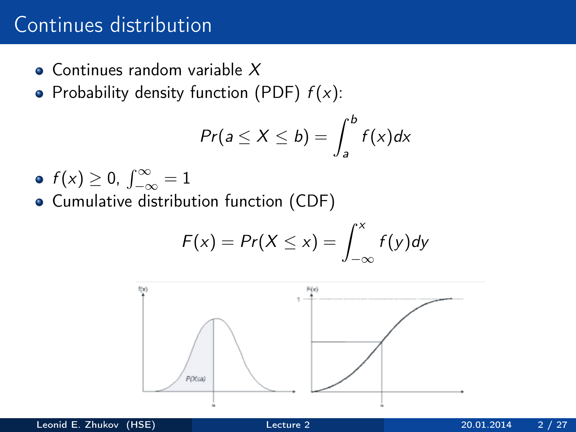## Continues distribution

- **Continues random variable X**
- Probability density function (PDF)  $f(x)$ :

$$
Pr(a \le X \le b) = \int_{a}^{b} f(x) dx
$$

 $f(x) \geq 0, \int_{-\infty}^{\infty} = 1$ Cumulative distribution function (CDF)

$$
F(x) = Pr(X \leq x) = \int_{-\infty}^{x} f(y) dy
$$

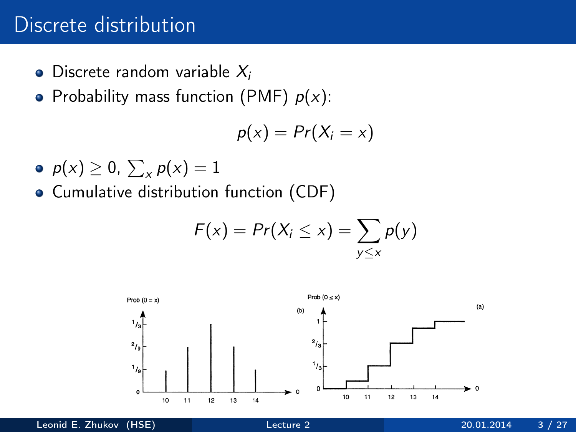### Discrete distribution

- $\bullet$  Discrete random variable  $X_i$
- Probability mass function (PMF)  $p(x)$ :

$$
p(x) = Pr(X_i = x)
$$

- $p(x) \geq 0, \sum_{x} p(x) = 1$
- Cumulative distribution function (CDF)

$$
F(x) = Pr(X_i \leq x) = \sum_{y \leq x} p(y)
$$

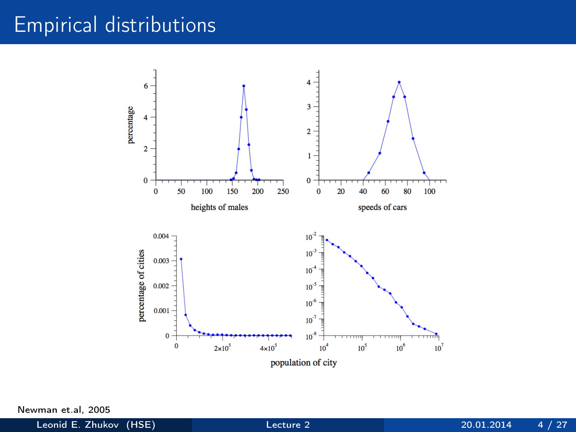## Empirical distributions



Newman et.al, 2005

Leonid E. Zhukov (HSE)  $\qquad \qquad$  [Lecture 2](#page-0-0)  $\qquad \qquad$  20.01.2014  $\qquad 4$  / 27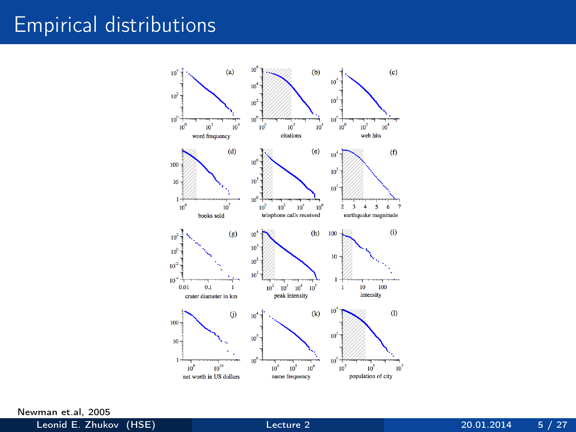## Empirical distributions



Newman et.al, 2005

Leonid E. Zhukov (HSE) [Lecture 2](#page-0-0) 20.01.2014 5 / 27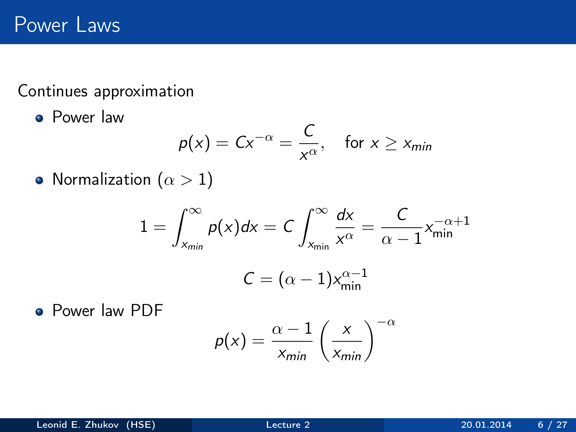Continues approximation

**Power law** 

$$
p(x) = C x^{-\alpha} = \frac{C}{x^{\alpha}}, \quad \text{for } x \geq x_{\text{min}}
$$

• Normalization ( $\alpha > 1$ )

$$
1 = \int_{x_{\min}}^{\infty} p(x)dx = C \int_{x_{\min}}^{\infty} \frac{dx}{x^{\alpha}} = \frac{C}{\alpha - 1} x_{\min}^{-\alpha + 1}
$$

$$
C = (\alpha - 1) x_{\min}^{\alpha - 1}
$$

Power law PDF

$$
p(x) = \frac{\alpha - 1}{x_{\text{min}}} \left(\frac{x}{x_{\text{min}}}\right)^{-\alpha}
$$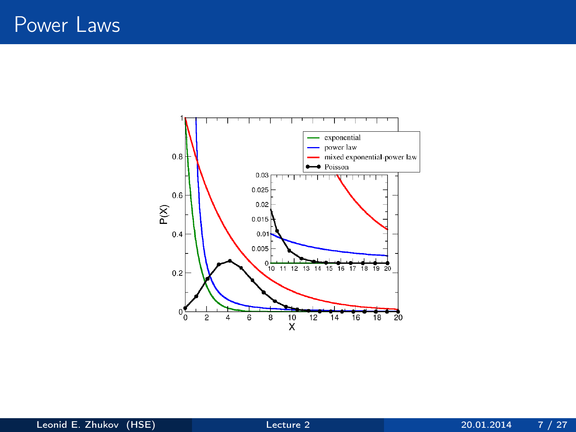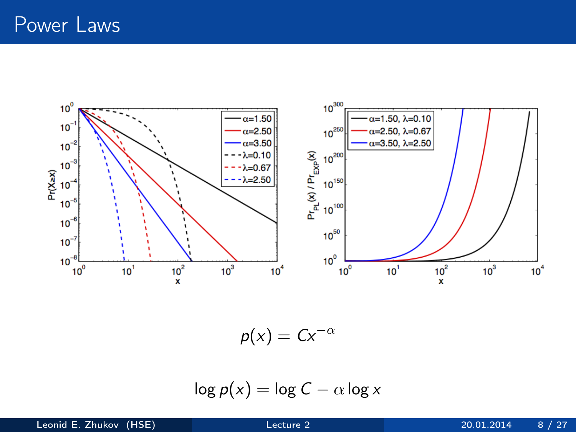

 $p(x) = Cx^{-\alpha}$ 

$$
\log p(x) = \log C - \alpha \log x
$$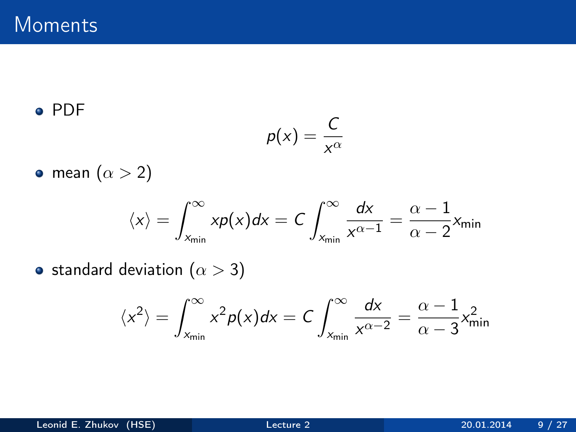#### PDF

$$
p(x)=\frac{C}{x^{\alpha}}
$$

• mean  $(\alpha > 2)$ 

$$
\langle x \rangle = \int_{x_{\text{min}}}^{\infty} x p(x) dx = C \int_{x_{\text{min}}}^{\infty} \frac{dx}{x^{\alpha - 1}} = \frac{\alpha - 1}{\alpha - 2} x_{\text{min}}
$$

• standard deviation  $(\alpha > 3)$ 

$$
\langle x^2 \rangle = \int_{x_{\min}}^{\infty} x^2 p(x) dx = C \int_{x_{\min}}^{\infty} \frac{dx}{x^{\alpha - 2}} = \frac{\alpha - 1}{\alpha - 3} x_{\min}^2
$$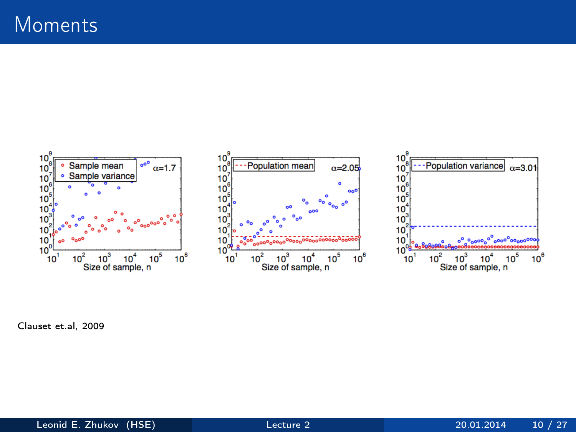

Clauset et.al, 2009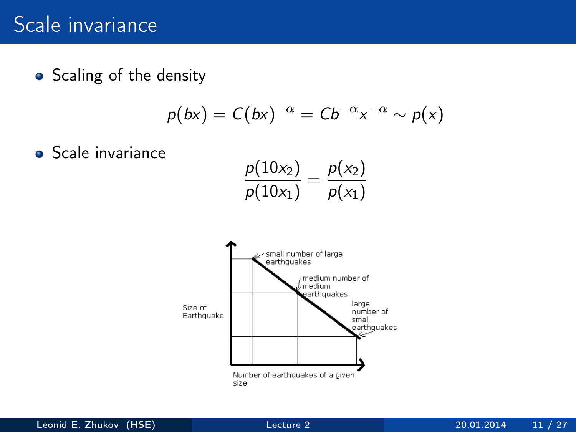## Scale invariance

• Scaling of the density

$$
p(bx) = C(bx)^{-\alpha} = Cb^{-\alpha}x^{-\alpha} \sim p(x)
$$

**•** Scale invariance

$$
\frac{p(10x_2)}{p(10x_1)} = \frac{p(x_2)}{p(x_1)}
$$

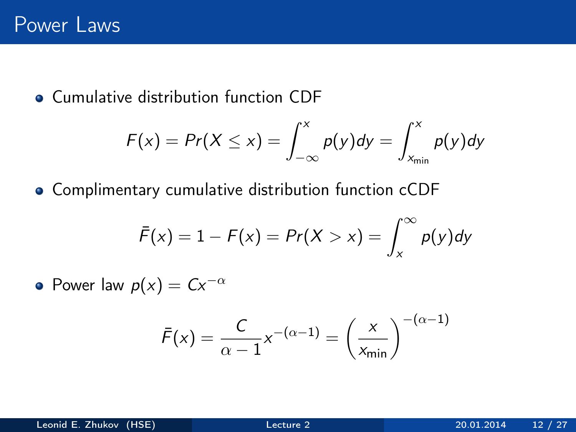**Cumulative distribution function CDF** 

$$
F(x) = Pr(X \le x) = \int_{-\infty}^{x} p(y) dy = \int_{x_{\text{min}}}^{x} p(y) dy
$$

Complimentary cumulative distribution function cCDF

$$
\bar{F}(x) = 1 - F(x) = Pr(X > x) = \int_x^{\infty} p(y) dy
$$

• Power law  $p(x) = Cx^{-\alpha}$ 

$$
\bar{F}(x) = \frac{C}{\alpha - 1} x^{-(\alpha - 1)} = \left(\frac{x}{x_{\min}}\right)^{-(\alpha - 1)}
$$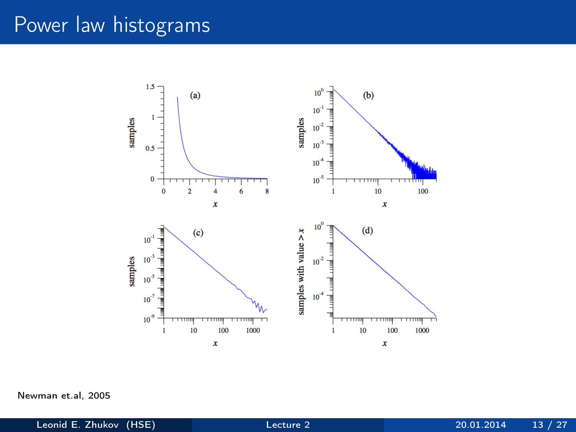## Power law histograms



Newman et.al, 2005

Leonid E. Zhukov (HSE) [Lecture 2](#page-0-0) 20.01.2014 13 / 27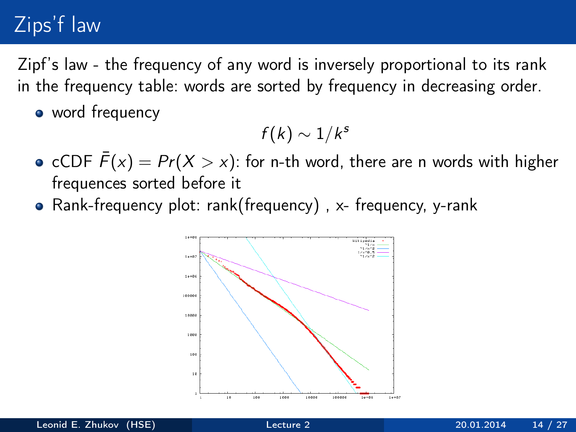## Zips'f law

Zipf's law - the frequency of any word is inversely proportional to its rank in the frequency table: words are sorted by frequency in decreasing order.

• word frequency

$$
f(k)\sim 1/k^s
$$

- cCDF  $\bar{F}(x) = Pr(X > x)$ : for n-th word, there are n words with higher frequences sorted before it
- Rank-frequency plot: rank(frequency) , x- frequency, y-rank

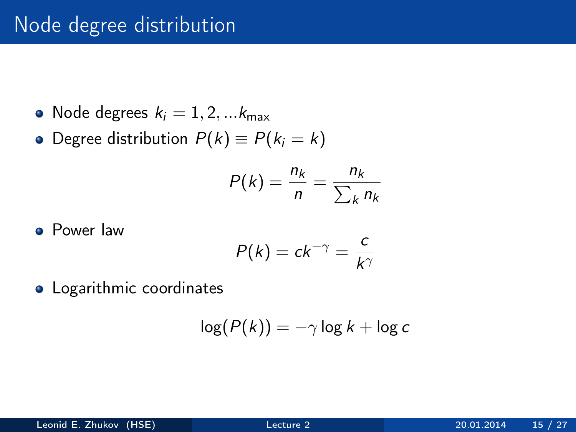## Node degree distribution

- Node degrees  $k_i = 1, 2, \dots k_{\text{max}}$
- Degree distribution  $P(k) \equiv P(k_i = k)$

$$
P(k) = \frac{n_k}{n} = \frac{n_k}{\sum_k n_k}
$$

**•** Power law

$$
P(k) = ck^{-\gamma} = \frac{c}{k^{\gamma}}
$$

Logarithmic coordinates

$$
\log(P(k)) = -\gamma \log k + \log c
$$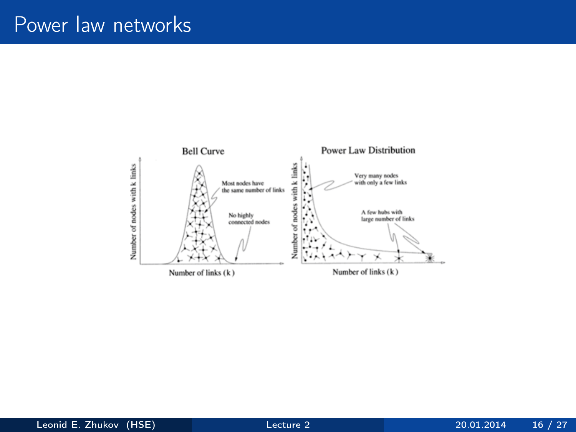## Power law networks

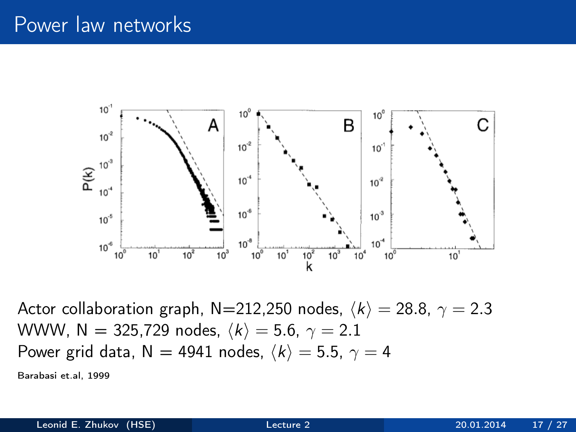### Power law networks



Actor collaboration graph, N=212,250 nodes,  $\langle k \rangle = 28.8$ ,  $\gamma = 2.3$ WWW, N = 325,729 nodes,  $\langle k \rangle = 5.6$ ,  $\gamma = 2.1$ Power grid data, N = 4941 nodes,  $\langle k \rangle = 5.5$ ,  $\gamma = 4$ Barabasi et.al, 1999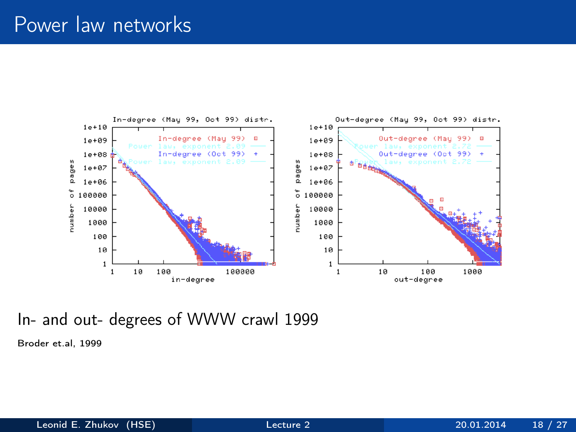## Power law networks



#### In- and out- degrees of WWW crawl 1999

Broder et.al, 1999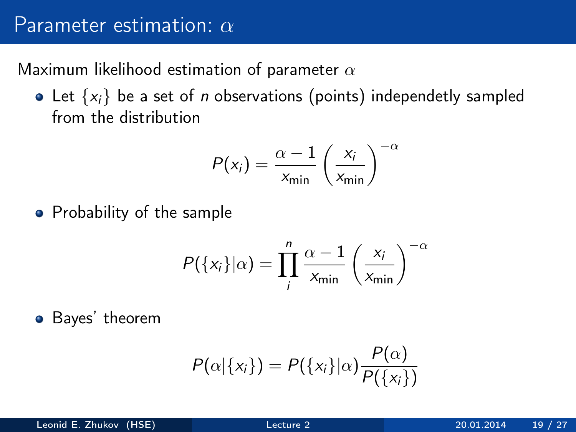### Parameter estimation:  $\alpha$

Maximum likelihood estimation of parameter  $\alpha$ 

• Let  $\{x_i\}$  be a set of *n* observations (points) independetly sampled from the distribution

$$
P(x_i) = \frac{\alpha - 1}{x_{\min}} \left(\frac{x_i}{x_{\min}}\right)^{-\alpha}
$$

• Probability of the sample

$$
P({xi}|\alpha) = \prod_{i}^{n} \frac{\alpha - 1}{x_{\min}} \left(\frac{x_i}{x_{\min}}\right)^{-\alpha}
$$

Bayes' theorem

$$
P(\alpha|\{x_i\}) = P(\{x_i\}|\alpha) \frac{P(\alpha)}{P(\{x_i\})}
$$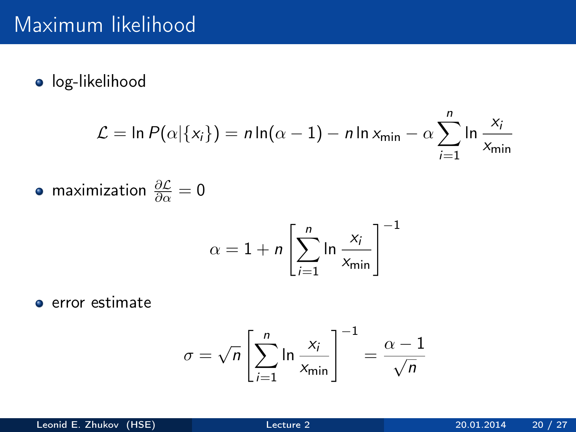## Maximum likelihood

**·** log-likelihood

$$
\mathcal{L} = \ln P(\alpha | \{x_i\}) = n \ln(\alpha - 1) - n \ln x_{\min} - \alpha \sum_{i=1}^n \ln \frac{x_i}{x_{\min}}
$$

maximization  $\frac{\partial \mathcal{L}}{\partial \alpha} = 0$ 

$$
\alpha = 1 + n \left[ \sum_{i=1}^{n} \ln \frac{x_i}{x_{\min}} \right]^{-1}
$$

**e** error estimate

$$
\sigma = \sqrt{n} \left[ \sum_{i=1}^{n} \ln \frac{x_i}{x_{\min}} \right]^{-1} = \frac{\alpha - 1}{\sqrt{n}}
$$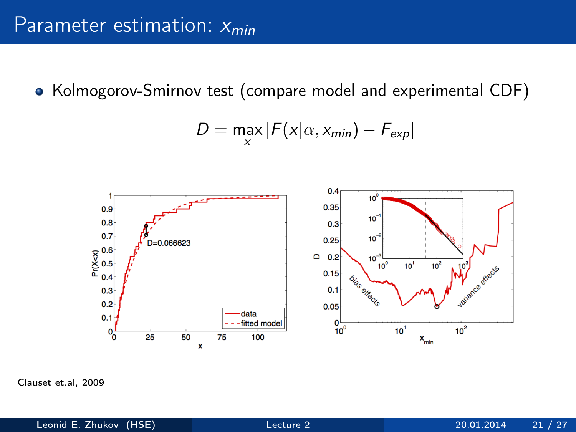• Kolmogorov-Smirnov test (compare model and experimental CDF)

$$
D = \max_{x} |F(x|\alpha, x_{min}) - F_{exp}|
$$



Clauset et.al, 2009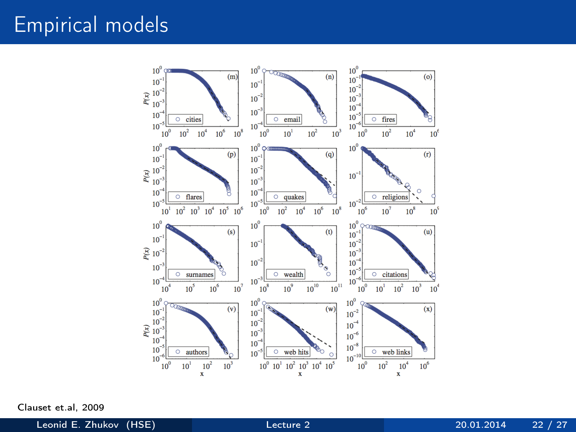## Empirical models



Clauset et.al, 2009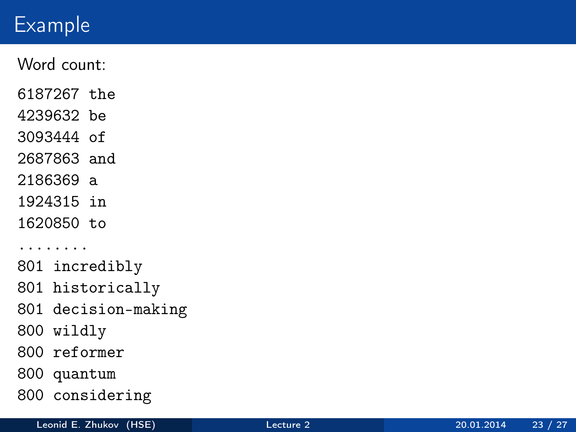# Example

Word count:

6187267 the

4239632 be

3093444 of

2687863 and

2186369 a

1924315 in

1620850 to

........

801 incredibly

801 historically

801 decision-making

800 wildly

800 reformer

800 quantum

800 considering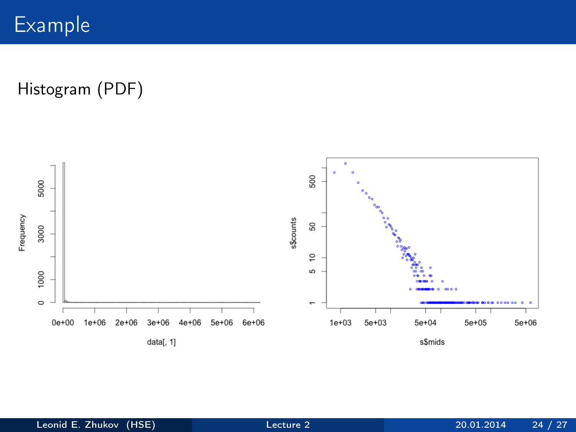Histogram (PDF)

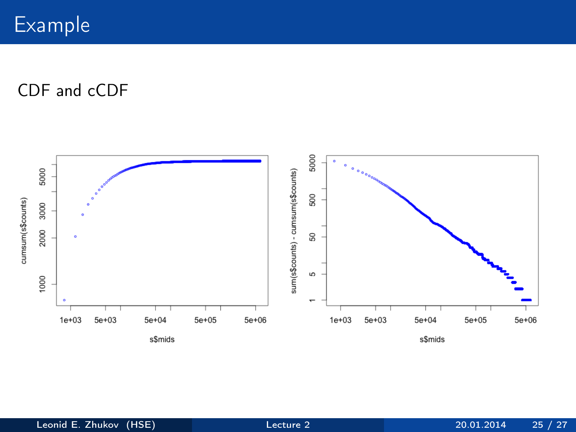Example

CDF and cCDF

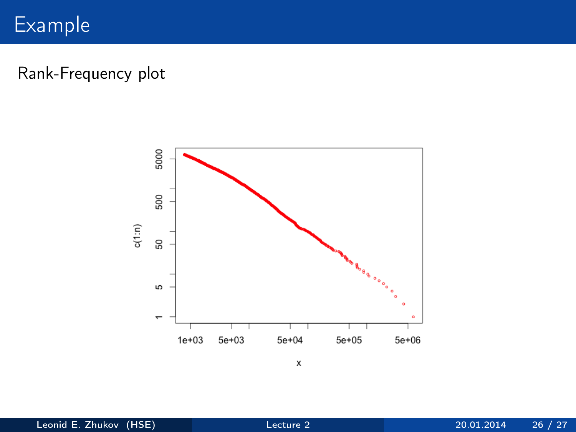## Example

Rank-Frequency plot